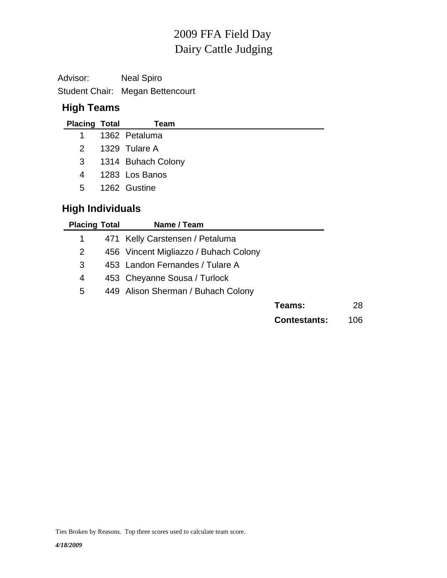# Dairy Cattle Judging 2009 FFA Field Day

Advisor: Neal Spiro Student Chair: Megan Bettencourt

# **High Teams**

| <b>Placing Total</b>    | Team               |
|-------------------------|--------------------|
| 1.                      | 1362 Petaluma      |
| $\mathcal{P}$           | 1329 Tulare A      |
| 3                       | 1314 Buhach Colony |
| 4                       | 1283 Los Banos     |
| 5                       | 1262 Gustine       |
| <b>High Individuals</b> |                    |

| <b>Placing Total</b> | Name / Team                           |                     |      |
|----------------------|---------------------------------------|---------------------|------|
|                      | 471 Kelly Carstensen / Petaluma       |                     |      |
| 2                    | 456 Vincent Migliazzo / Buhach Colony |                     |      |
| 3                    | 453 Landon Fernandes / Tulare A       |                     |      |
| 4                    | 453 Cheyanne Sousa / Turlock          |                     |      |
| 5                    | 449 Alison Sherman / Buhach Colony    |                     |      |
|                      |                                       | Teams:              | 28   |
|                      |                                       | <b>Contestants:</b> | 106. |

Ties Broken by Reasons. Top three scores used to calculate team score.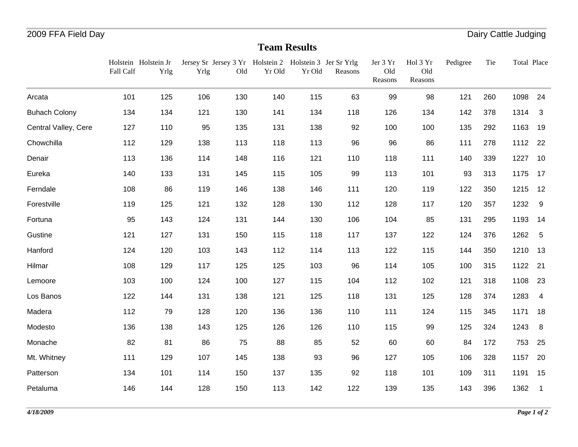#### **Team Results**

|                      | Fall Calf | Holstein Holstein Jr<br>Yrlg | Yrlg | Old | Jersey Sr Jersey 3 Yr Holstein 2 Holstein 3 Jer Sr Yrlg<br>Yr Old | Yr Old | Reasons | Jer 3 Yr<br>Old<br>Reasons | Hol 3 Yr<br>Old<br>Reasons | Pedigree | Tie | Total Place |                            |
|----------------------|-----------|------------------------------|------|-----|-------------------------------------------------------------------|--------|---------|----------------------------|----------------------------|----------|-----|-------------|----------------------------|
| Arcata               | 101       | 125                          | 106  | 130 | 140                                                               | 115    | 63      | 99                         | 98                         | 121      | 260 | 1098        | 24                         |
| <b>Buhach Colony</b> | 134       | 134                          | 121  | 130 | 141                                                               | 134    | 118     | 126                        | 134                        | 142      | 378 | 1314        | $\mathbf{3}$               |
| Central Valley, Cere | 127       | 110                          | 95   | 135 | 131                                                               | 138    | 92      | 100                        | 100                        | 135      | 292 | 1163        | 19                         |
| Chowchilla           | 112       | 129                          | 138  | 113 | 118                                                               | 113    | 96      | 96                         | 86                         | 111      | 278 | 1112        | 22                         |
| Denair               | 113       | 136                          | 114  | 148 | 116                                                               | 121    | 110     | 118                        | 111                        | 140      | 339 | 1227        | 10                         |
| Eureka               | 140       | 133                          | 131  | 145 | 115                                                               | 105    | 99      | 113                        | 101                        | 93       | 313 | 1175        | 17                         |
| Ferndale             | 108       | 86                           | 119  | 146 | 138                                                               | 146    | 111     | 120                        | 119                        | 122      | 350 | 1215        | 12                         |
| Forestville          | 119       | 125                          | 121  | 132 | 128                                                               | 130    | 112     | 128                        | 117                        | 120      | 357 | 1232        | 9                          |
| Fortuna              | 95        | 143                          | 124  | 131 | 144                                                               | 130    | 106     | 104                        | 85                         | 131      | 295 | 1193        | 14                         |
| Gustine              | 121       | 127                          | 131  | 150 | 115                                                               | 118    | 117     | 137                        | 122                        | 124      | 376 | 1262        | 5                          |
| Hanford              | 124       | 120                          | 103  | 143 | 112                                                               | 114    | 113     | 122                        | 115                        | 144      | 350 | 1210        | 13                         |
| Hilmar               | 108       | 129                          | 117  | 125 | 125                                                               | 103    | 96      | 114                        | 105                        | 100      | 315 | 1122        | 21                         |
| Lemoore              | 103       | 100                          | 124  | 100 | 127                                                               | 115    | 104     | 112                        | 102                        | 121      | 318 | 1108        | 23                         |
| Los Banos            | 122       | 144                          | 131  | 138 | 121                                                               | 125    | 118     | 131                        | 125                        | 128      | 374 | 1283        | $\overline{4}$             |
| Madera               | 112       | 79                           | 128  | 120 | 136                                                               | 136    | 110     | 111                        | 124                        | 115      | 345 | 1171        | 18                         |
| Modesto              | 136       | 138                          | 143  | 125 | 126                                                               | 126    | 110     | 115                        | 99                         | 125      | 324 | 1243        | 8                          |
| Monache              | 82        | 81                           | 86   | 75  | 88                                                                | 85     | 52      | 60                         | 60                         | 84       | 172 | 753         | 25                         |
| Mt. Whitney          | 111       | 129                          | 107  | 145 | 138                                                               | 93     | 96      | 127                        | 105                        | 106      | 328 | 1157        | 20                         |
| Patterson            | 134       | 101                          | 114  | 150 | 137                                                               | 135    | 92      | 118                        | 101                        | 109      | 311 | 1191        | 15                         |
| Petaluma             | 146       | 144                          | 128  | 150 | 113                                                               | 142    | 122     | 139                        | 135                        | 143      | 396 | 1362        | $\overline{\phantom{0}}$ 1 |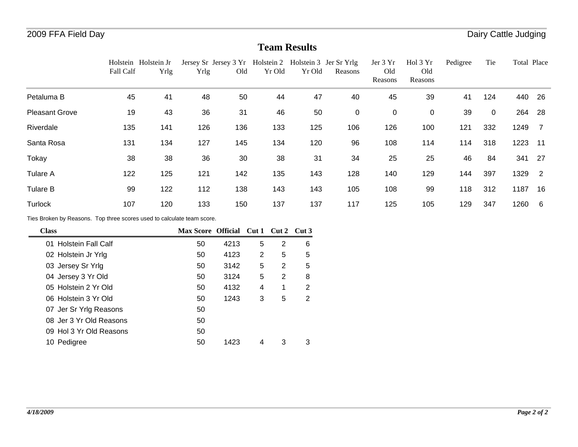#### **Team Results**

|                       | Holstein Holstein Jr<br>Fall Calf | Yrlg | Jersey Sr Jersey 3 Yr<br>Yrlg | Old | Yr Old | Yr Old | Holstein 2 Holstein 3 Jer Sr Yrlg<br>Reasons | Jer 3 Yr<br>Old<br>Reasons | Hol 3 Yr<br>Old<br>Reasons | Pedigree | Tie | Total Place |                |
|-----------------------|-----------------------------------|------|-------------------------------|-----|--------|--------|----------------------------------------------|----------------------------|----------------------------|----------|-----|-------------|----------------|
| Petaluma B            | 45                                | 41   | 48                            | 50  | 44     | 47     | 40                                           | 45                         | 39                         | 41       | 124 | 440         | - 26           |
| <b>Pleasant Grove</b> | 19                                | 43   | 36                            | 31  | 46     | 50     | $\mathbf 0$                                  | $\mathbf 0$                | 0                          | 39       | 0   | 264         | -28            |
| Riverdale             | 135                               | 141  | 126                           | 136 | 133    | 125    | 106                                          | 126                        | 100                        | 121      | 332 | 1249        | $\overline{7}$ |
| Santa Rosa            | 131                               | 134  | 127                           | 145 | 134    | 120    | 96                                           | 108                        | 114                        | 114      | 318 | 1223        | -11            |
| Tokay                 | 38                                | 38   | 36                            | 30  | 38     | 31     | 34                                           | 25                         | 25                         | 46       | 84  | 341         | - 27           |
| <b>Tulare A</b>       | 122                               | 125  | 121                           | 142 | 135    | 143    | 128                                          | 140                        | 129                        | 144      | 397 | 1329        | $\overline{2}$ |
| <b>Tulare B</b>       | 99                                | 122  | 112                           | 138 | 143    | 143    | 105                                          | 108                        | 99                         | 118      | 312 | 1187        | 16             |
| Turlock               | 107                               | 120  | 133                           | 150 | 137    | 137    | 117                                          | 125                        | 105                        | 129      | 347 | 1260        | - 6            |

Ties Broken by Reasons. Top three scores used to calculate team score.

| <b>Class</b>            | Max Score Official Cut 1 Cut 2 Cut 3 |      |   |   |   |
|-------------------------|--------------------------------------|------|---|---|---|
| 01 Holstein Fall Calf   | 50                                   | 4213 | 5 | 2 | 6 |
| 02 Holstein Jr Yrlg     | 50                                   | 4123 | 2 | 5 | 5 |
| 03 Jersey Sr Yrlg       | 50                                   | 3142 | 5 | 2 | 5 |
| 04 Jersey 3 Yr Old      | 50                                   | 3124 | 5 | 2 | 8 |
| 05 Holstein 2 Yr Old    | 50                                   | 4132 | 4 | 1 | 2 |
| 06 Holstein 3 Yr Old    | 50                                   | 1243 | 3 | 5 | 2 |
| 07 Jer Sr Yrlg Reasons  | 50                                   |      |   |   |   |
| 08 Jer 3 Yr Old Reasons | 50                                   |      |   |   |   |
| 09 Hol 3 Yr Old Reasons | 50                                   |      |   |   |   |
| 10 Pedigree             | 50                                   | 1423 |   | 3 | 3 |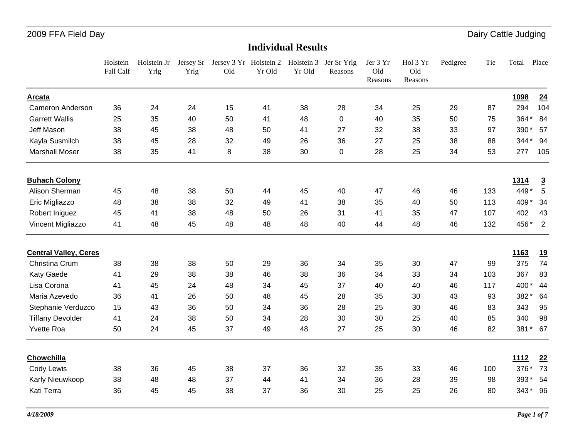|                              | Holstein<br>Fall Calf | Holstein Jr<br>Yrlg | Yrlg | Jersey Sr Jersey 3 Yr Holstein 2 Holstein 3 Jer Sr Yrlg<br>Old | Yr Old | Yr Old | Reasons | Jer 3 Yr<br>Old<br>Reasons | Hol 3 Yr<br>Old<br>Reasons | Pedigree | Tie | Total       | Place          |
|------------------------------|-----------------------|---------------------|------|----------------------------------------------------------------|--------|--------|---------|----------------------------|----------------------------|----------|-----|-------------|----------------|
| Arcata                       |                       |                     |      |                                                                |        |        |         |                            |                            |          |     | 1098        | 24             |
| <b>Cameron Anderson</b>      | 36                    | 24                  | 24   | 15                                                             | 41     | 38     | 28      | 34                         | 25                         | 29       | 87  | 294         | 104            |
| <b>Garrett Wallis</b>        | 25                    | 35                  | 40   | 50                                                             | 41     | 48     | 0       | 40                         | 35                         | 50       | 75  | 364*        | 84             |
| Jeff Mason                   | 38                    | 45                  | 38   | 48                                                             | 50     | 41     | 27      | 32                         | 38                         | 33       | 97  | 390*        | 57             |
| Kayla Susmilch               | 38                    | 45                  | 28   | 32                                                             | 49     | 26     | 36      | 27                         | 25                         | 38       | 88  | $344*$      | 94             |
| <b>Marshall Moser</b>        | 38                    | 35                  | 41   | 8                                                              | 38     | 30     | 0       | 28                         | 25                         | 34       | 53  | 277         | 105            |
| <b>Buhach Colony</b>         |                       |                     |      |                                                                |        |        |         |                            |                            |          |     | <u>1314</u> | $\overline{3}$ |
| Alison Sherman               | 45                    | 48                  | 38   | 50                                                             | 44     | 45     | 40      | 47                         | 46                         | 46       | 133 | 449*        | $\sqrt{5}$     |
| Eric Migliazzo               | 48                    | 38                  | 38   | 32                                                             | 49     | 41     | 38      | 35                         | 40                         | 50       | 113 | 409*        | 34             |
| Robert Iniguez               | 45                    | 41                  | 38   | 48                                                             | 50     | 26     | 31      | 41                         | 35                         | 47       | 107 | 402         | 43             |
| Vincent Migliazzo            | 41                    | 48                  | 45   | 48                                                             | 48     | 48     | 40      | 44                         | 48                         | 46       | 132 | 456*        | $\overline{2}$ |
| <b>Central Valley, Ceres</b> |                       |                     |      |                                                                |        |        |         |                            |                            |          |     | <u>1163</u> | <u>19</u>      |
| Christina Crum               | 38                    | 38                  | 38   | 50                                                             | 29     | 36     | 34      | 35                         | 30                         | 47       | 99  | 375         | 74             |
| Katy Gaede                   | 41                    | 29                  | 38   | 38                                                             | 46     | 38     | 36      | 34                         | 33                         | 34       | 103 | 367         | 83             |
| Lisa Corona                  | 41                    | 45                  | 24   | 48                                                             | 34     | 45     | 37      | 40                         | 40                         | 46       | 117 | 400*        | 44             |
| Maria Azevedo                | 36                    | 41                  | 26   | 50                                                             | 48     | 45     | 28      | 35                         | 30                         | 43       | 93  | 382*        | 64             |
| Stephanie Verduzco           | 15                    | 43                  | 36   | 50                                                             | 34     | 36     | 28      | 25                         | 30                         | 46       | 83  | 343         | 95             |
| <b>Tiffany Devolder</b>      | 41                    | 24                  | 38   | 50                                                             | 34     | 28     | 30      | 30                         | 25                         | 40       | 85  | 340         | 98             |
| Yvette Roa                   | 50                    | 24                  | 45   | 37                                                             | 49     | 48     | 27      | 25                         | 30                         | 46       | 82  | 381*        | 67             |
| Chowchilla                   |                       |                     |      |                                                                |        |        |         |                            |                            |          |     | <u>1112</u> | 22             |
| Cody Lewis                   | 38                    | 36                  | 45   | 38                                                             | 37     | 36     | 32      | 35                         | 33                         | 46       | 100 | 376*        | 73             |
| Karly Nieuwkoop              | 38                    | 48                  | 48   | 37                                                             | 44     | 41     | 34      | 36                         | 28                         | 39       | 98  | 393*        | 54             |
| Kati Terra                   | 36                    | 45                  | 45   | 38                                                             | 37     | 36     | 30      | 25                         | 25                         | 26       | 80  | 343* 96     |                |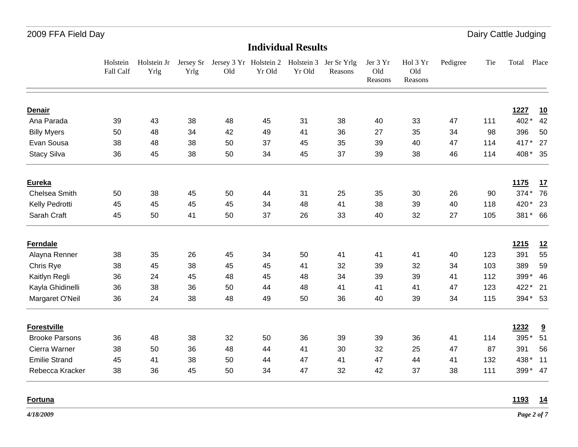#### **Individual Results**

|                       | Holstein<br>Fall Calf | Holstein Jr<br>Yrlg | Yrlg | Old | Yr Old | Yr Old | Jersey Sr Jersey 3 Yr Holstein 2 Holstein 3 Jer Sr Yrlg<br>Reasons | Jer 3 Yr<br>Old<br>Reasons | Hol 3 Yr<br>Old<br>Reasons | Pedigree | Tie | Total       | Place                   |
|-----------------------|-----------------------|---------------------|------|-----|--------|--------|--------------------------------------------------------------------|----------------------------|----------------------------|----------|-----|-------------|-------------------------|
| <b>Denair</b>         |                       |                     |      |     |        |        |                                                                    |                            |                            |          |     | 1227        | <u>10</u>               |
| Ana Parada            | 39                    | 43                  | 38   | 48  | 45     | 31     | 38                                                                 | 40                         | 33                         | 47       | 111 | 402*        | 42                      |
| <b>Billy Myers</b>    | 50                    | 48                  | 34   | 42  | 49     | 41     | 36                                                                 | 27                         | 35                         | 34       | 98  | 396         | 50                      |
| Evan Sousa            | 38                    | 48                  | 38   | 50  | 37     | 45     | 35                                                                 | 39                         | 40                         | 47       | 114 | 417*        | 27                      |
| <b>Stacy Silva</b>    | 36                    | 45                  | 38   | 50  | 34     | 45     | 37                                                                 | 39                         | 38                         | 46       | 114 | 408* 35     |                         |
| <b>Eureka</b>         |                       |                     |      |     |        |        |                                                                    |                            |                            |          |     | <b>1175</b> | 17                      |
| Chelsea Smith         | 50                    | 38                  | 45   | 50  | 44     | 31     | 25                                                                 | 35                         | 30                         | 26       | 90  | 374* 76     |                         |
| Kelly Pedrotti        | 45                    | 45                  | 45   | 45  | 34     | 48     | 41                                                                 | 38                         | 39                         | 40       | 118 | 420* 23     |                         |
| Sarah Craft           | 45                    | 50                  | 41   | 50  | 37     | 26     | 33                                                                 | 40                         | 32                         | 27       | 105 | 381* 66     |                         |
| <b>Ferndale</b>       |                       |                     |      |     |        |        |                                                                    |                            |                            |          |     | <u>1215</u> | <u>12</u>               |
| Alayna Renner         | 38                    | 35                  | 26   | 45  | 34     | 50     | 41                                                                 | 41                         | 41                         | 40       | 123 | 391         | 55                      |
| Chris Rye             | 38                    | 45                  | 38   | 45  | 45     | 41     | 32                                                                 | 39                         | 32                         | 34       | 103 | 389         | 59                      |
| Kaitlyn Regli         | 36                    | 24                  | 45   | 48  | 45     | 48     | 34                                                                 | 39                         | 39                         | 41       | 112 | 399*        | 46                      |
| Kayla Ghidinelli      | 36                    | 38                  | 36   | 50  | 44     | 48     | 41                                                                 | 41                         | 41                         | 47       | 123 | 422*        | 21                      |
| Margaret O'Neil       | 36                    | 24                  | 38   | 48  | 49     | 50     | 36                                                                 | 40                         | 39                         | 34       | 115 | 394* 53     |                         |
| <b>Forestville</b>    |                       |                     |      |     |        |        |                                                                    |                            |                            |          |     | 1232        | $\overline{\mathbf{a}}$ |
| <b>Brooke Parsons</b> | 36                    | 48                  | 38   | 32  | 50     | 36     | 39                                                                 | 39                         | 36                         | 41       | 114 | 395*        | 51                      |
| Cierra Warner         | 38                    | 50                  | 36   | 48  | 44     | 41     | 30                                                                 | 32                         | 25                         | 47       | 87  | 391         | 56                      |
| <b>Emilie Strand</b>  | 45                    | 41                  | 38   | 50  | 44     | 47     | 41                                                                 | 47                         | 44                         | 41       | 132 | 438* 11     |                         |
| Rebecca Kracker       | 38                    | 36                  | 45   | 50  | 34     | 47     | 32                                                                 | 42                         | 37                         | 38       | 111 | 399* 47     |                         |

**Fortuna**

**1193 14**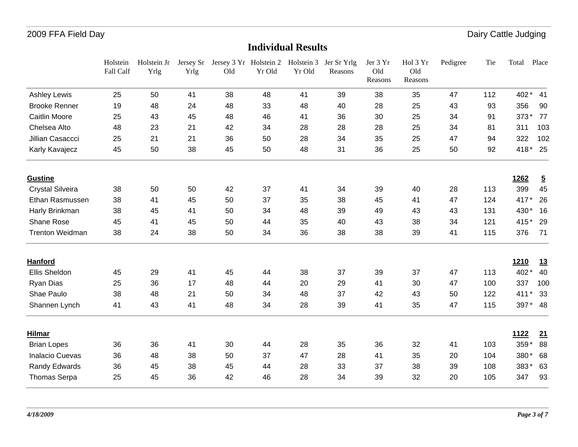|                         | Holstein<br>Fall Calf | Holstein Jr<br>Yrlg | Jersey Sr<br>Yrlg | Jersey 3 Yr Holstein 2<br>Old | Yr Old | Holstein 3<br>Yr Old | Jer Sr Yrlg<br>Reasons | Jer 3 Yr<br>Old<br>Reasons | Hol 3 Yr<br>Old<br>Reasons | Pedigree | Tie | Total       | Place          |
|-------------------------|-----------------------|---------------------|-------------------|-------------------------------|--------|----------------------|------------------------|----------------------------|----------------------------|----------|-----|-------------|----------------|
| <b>Ashley Lewis</b>     | 25                    | 50                  | 41                | 38                            | 48     | 41                   | 39                     | 38                         | 35                         | 47       | 112 | 402*        | 41             |
| <b>Brooke Renner</b>    | 19                    | 48                  | 24                | 48                            | 33     | 48                   | 40                     | 28                         | 25                         | 43       | 93  | 356         | 90             |
| <b>Caitlin Moore</b>    | 25                    | 43                  | 45                | 48                            | 46     | 41                   | 36                     | 30                         | 25                         | 34       | 91  | 373*        | 77             |
| Chelsea Alto            | 48                    | 23                  | 21                | 42                            | 34     | 28                   | 28                     | 28                         | 25                         | 34       | 81  | 311         | 103            |
| Jillian Casaccci        | 25                    | 21                  | 21                | 36                            | 50     | 28                   | 34                     | 35                         | 25                         | 47       | 94  | 322         | 102            |
| Karly Kavajecz          | 45                    | 50                  | 38                | 45                            | 50     | 48                   | 31                     | 36                         | 25                         | 50       | 92  | 418*        | 25             |
| <b>Gustine</b>          |                       |                     |                   |                               |        |                      |                        |                            |                            |          |     | 1262        | $\overline{5}$ |
| <b>Crystal Silveira</b> | 38                    | 50                  | 50                | 42                            | 37     | 41                   | 34                     | 39                         | 40                         | 28       | 113 | 399         | 45             |
| Ethan Rasmussen         | 38                    | 41                  | 45                | 50                            | 37     | 35                   | 38                     | 45                         | 41                         | 47       | 124 | 417*        | 26             |
| Harly Brinkman          | 38                    | 45                  | 41                | 50                            | 34     | 48                   | 39                     | 49                         | 43                         | 43       | 131 | 430*        | 16             |
| Shane Rose              | 45                    | 41                  | 45                | 50                            | 44     | 35                   | 40                     | 43                         | 38                         | 34       | 121 | 415*        | 29             |
| <b>Trenton Weidman</b>  | 38                    | 24                  | 38                | 50                            | 34     | 36                   | 38                     | 38                         | 39                         | 41       | 115 | 376         | 71             |
| <b>Hanford</b>          |                       |                     |                   |                               |        |                      |                        |                            |                            |          |     | <b>1210</b> | <u>13</u>      |
| Ellis Sheldon           | 45                    | 29                  | 41                | 45                            | 44     | 38                   | 37                     | 39                         | 37                         | 47       | 113 | 402*        | 40             |
| Ryan Dias               | 25                    | 36                  | 17                | 48                            | 44     | 20                   | 29                     | 41                         | 30                         | 47       | 100 | 337         | 100            |
| Shae Paulo              | 38                    | 48                  | 21                | 50                            | 34     | 48                   | 37                     | 42                         | 43                         | 50       | 122 | 411         | 33             |
| Shannen Lynch           | 41                    | 43                  | 41                | 48                            | 34     | 28                   | 39                     | 41                         | 35                         | 47       | 115 | 397*        | 48             |
| <b>Hilmar</b>           |                       |                     |                   |                               |        |                      |                        |                            |                            |          |     | <u>1122</u> | 21             |
| <b>Brian Lopes</b>      | 36                    | 36                  | 41                | 30                            | 44     | 28                   | 35                     | 36                         | 32                         | 41       | 103 | 359*        | 88             |
| <b>Inalacio Cuevas</b>  | 36                    | 48                  | 38                | 50                            | 37     | 47                   | 28                     | 41                         | 35                         | 20       | 104 | 380*        | 68             |
| <b>Randy Edwards</b>    | 36                    | 45                  | 38                | 45                            | 44     | 28                   | 33                     | 37                         | 38                         | 39       | 108 | 383*        | 63             |
| Thomas Serpa            | 25                    | 45                  | 36                | 42                            | 46     | 28                   | 34                     | 39                         | 32                         | 20       | 105 | 347         | 93             |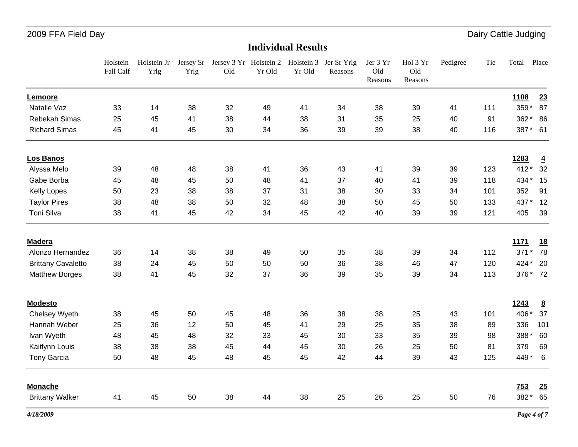|                           | Holstein<br>Fall Calf | Holstein Jr<br>Yrlg | Yrlg | Jersey Sr Jersey 3 Yr Holstein 2 Holstein 3 Jer Sr Yrlg<br>Old | Yr Old | Yr Old | Reasons | Jer 3 Yr<br>Old<br>Reasons | Hol 3 Yr<br>Old<br>Reasons | Pedigree | Tie | Total       | Place           |
|---------------------------|-----------------------|---------------------|------|----------------------------------------------------------------|--------|--------|---------|----------------------------|----------------------------|----------|-----|-------------|-----------------|
| Lemoore                   |                       |                     |      |                                                                |        |        |         |                            |                            |          |     | <u>1108</u> | 23              |
| Natalie Vaz               | 33                    | 14                  | 38   | 32                                                             | 49     | 41     | 34      | 38                         | 39                         | 41       | 111 | 359*        | 87              |
| Rebekah Simas             | 25                    | 45                  | 41   | 38                                                             | 44     | 38     | 31      | 35                         | 25                         | 40       | 91  | 362*        | 86              |
| <b>Richard Simas</b>      | 45                    | 41                  | 45   | 30                                                             | 34     | 36     | 39      | 39                         | 38                         | 40       | 116 | 387* 61     |                 |
| Los Banos                 |                       |                     |      |                                                                |        |        |         |                            |                            |          |     | 1283        | $\overline{4}$  |
| Alyssa Melo               | 39                    | 48                  | 48   | 38                                                             | 41     | 36     | 43      | 41                         | 39                         | 39       | 123 | 412*        | 32              |
| Gabe Borba                | 45                    | 48                  | 45   | 50                                                             | 48     | 41     | 37      | 40                         | 41                         | 39       | 118 | 434* 15     |                 |
| <b>Kelly Lopes</b>        | 50                    | 23                  | 38   | 38                                                             | 37     | 31     | 38      | 30                         | 33                         | 34       | 101 | 352         | 91              |
| <b>Taylor Pires</b>       | 38                    | 48                  | 38   | 50                                                             | 32     | 48     | 38      | 50                         | 45                         | 50       | 133 | 437*        | 12              |
| Toni Silva                | 38                    | 41                  | 45   | 42                                                             | 34     | 45     | 42      | 40                         | 39                         | 39       | 121 | 405         | 39              |
| <b>Madera</b>             |                       |                     |      |                                                                |        |        |         |                            |                            |          |     | <u>1171</u> | <u>18</u>       |
| Alonzo Hernandez          | 36                    | 14                  | 38   | 38                                                             | 49     | 50     | 35      | 38                         | 39                         | 34       | 112 | $371*$      | 78              |
| <b>Brittany Cavaletto</b> | 38                    | 24                  | 45   | 50                                                             | 50     | 50     | 36      | 38                         | 46                         | 47       | 120 | 424*        | 20              |
| <b>Matthew Borges</b>     | 38                    | 41                  | 45   | 32                                                             | 37     | 36     | 39      | 35                         | 39                         | 34       | 113 | 376* 72     |                 |
| <b>Modesto</b>            |                       |                     |      |                                                                |        |        |         |                            |                            |          |     | 1243        | $\underline{8}$ |
| Chelsey Wyeth             | 38                    | 45                  | 50   | 45                                                             | 48     | 36     | 38      | 38                         | 25                         | 43       | 101 | 406*        | 37              |
| Hannah Weber              | 25                    | 36                  | 12   | 50                                                             | 45     | 41     | 29      | 25                         | 35                         | 38       | 89  | 336         | 101             |
| Ivan Wyeth                | 48                    | 45                  | 48   | 32                                                             | 33     | 45     | 30      | 33                         | 35                         | 39       | 98  | 388*        | 60              |
| Kaitlynn Louis            | 38                    | 38                  | 38   | 45                                                             | 44     | 45     | 30      | 26                         | 25                         | 50       | 81  | 379         | 69              |
| <b>Tony Garcia</b>        | 50                    | 48                  | 45   | 48                                                             | 45     | 45     | 42      | 44                         | 39                         | 43       | 125 | 449* 6      |                 |
| <b>Monache</b>            |                       |                     |      |                                                                |        |        |         |                            |                            |          |     | 753         | 25              |
| <b>Brittany Walker</b>    | 41                    | 45                  | 50   | 38                                                             | 44     | 38     | 25      | 26                         | 25                         | 50       | 76  | 382*        | 65              |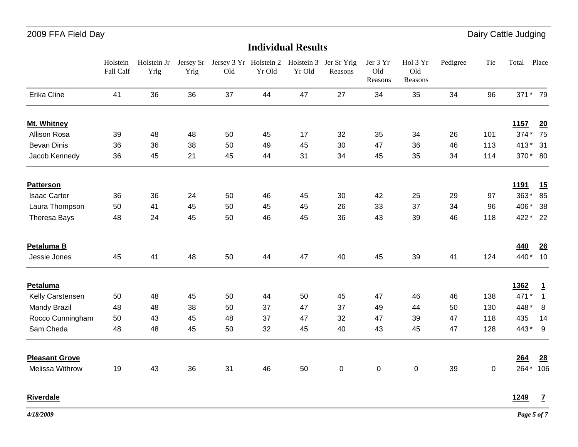#### **Individual Results**

|                       | Holstein<br>Fall Calf | Holstein Jr<br>Yrlg | Jersey Sr<br>Yrlg | Jersey 3 Yr Holstein 2<br>Old | Yr Old | Holstein 3<br>Yr Old | Jer Sr Yrlg<br>Reasons | Jer 3 Yr<br>Old<br>Reasons | Hol 3 Yr<br>Old<br>Reasons | Pedigree | Tie | Total       | Place          |
|-----------------------|-----------------------|---------------------|-------------------|-------------------------------|--------|----------------------|------------------------|----------------------------|----------------------------|----------|-----|-------------|----------------|
| Erika Cline           | 41                    | 36                  | 36                | 37                            | 44     | 47                   | 27                     | 34                         | 35                         | 34       | 96  | 371* 79     |                |
| Mt. Whitney           |                       |                     |                   |                               |        |                      |                        |                            |                            |          |     | <u>1157</u> | 20             |
| Allison Rosa          | 39                    | 48                  | 48                | 50                            | 45     | 17                   | 32                     | 35                         | 34                         | 26       | 101 | 374*        | 75             |
| <b>Bevan Dinis</b>    | 36                    | 36                  | 38                | 50                            | 49     | 45                   | 30                     | 47                         | 36                         | 46       | 113 | $413*$      | 31             |
| Jacob Kennedy         | 36                    | 45                  | 21                | 45                            | 44     | 31                   | 34                     | 45                         | 35                         | 34       | 114 | 370* 80     |                |
| <b>Patterson</b>      |                       |                     |                   |                               |        |                      |                        |                            |                            |          |     | <u>1191</u> | 15             |
| <b>Isaac Carter</b>   | 36                    | 36                  | 24                | 50                            | 46     | 45                   | 30                     | 42                         | 25                         | 29       | 97  | 363*        | 85             |
| Laura Thompson        | 50                    | 41                  | 45                | 50                            | 45     | 45                   | 26                     | 33                         | 37                         | 34       | 96  | 406*        | 38             |
| Theresa Bays          | 48                    | 24                  | 45                | 50                            | 46     | 45                   | 36                     | 43                         | 39                         | 46       | 118 | 422 * 22    |                |
| Petaluma B            |                       |                     |                   |                               |        |                      |                        |                            |                            |          |     | 440         | 26             |
| Jessie Jones          | 45                    | 41                  | 48                | 50                            | 44     | 47                   | 40                     | 45                         | 39                         | 41       | 124 | 440*        | 10             |
| <b>Petaluma</b>       |                       |                     |                   |                               |        |                      |                        |                            |                            |          |     | 1362        | $\mathbf{1}$   |
| Kelly Carstensen      | 50                    | 48                  | 45                | 50                            | 44     | 50                   | 45                     | 47                         | 46                         | 46       | 138 | 471*        | $\overline{1}$ |
| <b>Mandy Brazil</b>   | 48                    | 48                  | 38                | 50                            | 37     | 47                   | 37                     | 49                         | 44                         | 50       | 130 | 448*        | 8              |
| Rocco Cunningham      | 50                    | 43                  | 45                | 48                            | 37     | 47                   | 32                     | 47                         | 39                         | 47       | 118 | 435         | 14             |
| Sam Cheda             | 48                    | 48                  | 45                | 50                            | 32     | 45                   | 40                     | 43                         | 45                         | 47       | 128 | 443* 9      |                |
| <b>Pleasant Grove</b> |                       |                     |                   |                               |        |                      |                        |                            |                            |          |     | 264         | 28             |
| Melissa Withrow       | 19                    | 43                  | 36                | 31                            | 46     | 50                   | 0                      | 0                          | $\mathbf 0$                | 39       | 0   | 264*        | 106            |

**Riverdale**

**1249 7**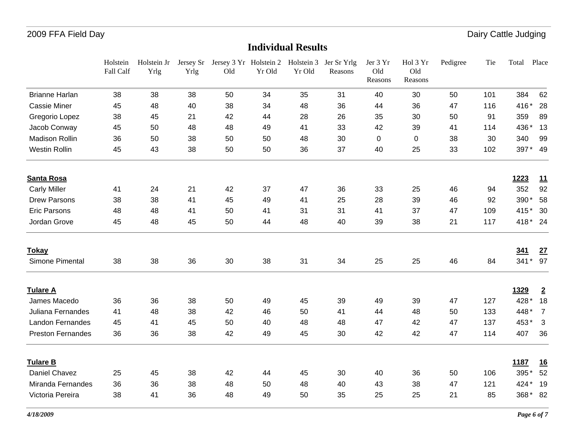|                          | Holstein<br>Fall Calf | Holstein Jr<br>Yrlg | Yrlg | Jersey Sr Jersey 3 Yr Holstein 2 Holstein 3 Jer Sr Yrlg<br>Old | Yr Old | Yr Old | Reasons | Jer 3 Yr<br>Old<br>Reasons | Hol 3 Yr<br>Old<br>Reasons | Pedigree | Tie | Total    | Place          |
|--------------------------|-----------------------|---------------------|------|----------------------------------------------------------------|--------|--------|---------|----------------------------|----------------------------|----------|-----|----------|----------------|
| <b>Brianne Harlan</b>    | 38                    | 38                  | 38   | 50                                                             | 34     | 35     | 31      | 40                         | 30                         | 50       | 101 | 384      | 62             |
| <b>Cassie Miner</b>      | 45                    | 48                  | 40   | 38                                                             | 34     | 48     | 36      | 44                         | 36                         | 47       | 116 | 416*     | 28             |
| Gregorio Lopez           | 38                    | 45                  | 21   | 42                                                             | 44     | 28     | 26      | 35                         | 30                         | 50       | 91  | 359      | 89             |
| Jacob Conway             | 45                    | 50                  | 48   | 48                                                             | 49     | 41     | 33      | 42                         | 39                         | 41       | 114 | 436*     | 13             |
| <b>Madison Rollin</b>    | 36                    | 50                  | 38   | 50                                                             | 50     | 48     | 30      | 0                          | $\mathbf 0$                | 38       | 30  | 340      | 99             |
| <b>Westin Rollin</b>     | 45                    | 43                  | 38   | 50                                                             | 50     | 36     | 37      | 40                         | 25                         | 33       | 102 | 397* 49  |                |
| <b>Santa Rosa</b>        |                       |                     |      |                                                                |        |        |         |                            |                            |          |     | 1223     | <u>11</u>      |
| <b>Carly Miller</b>      | 41                    | 24                  | 21   | 42                                                             | 37     | 47     | 36      | 33                         | 25                         | 46       | 94  | 352      | 92             |
| <b>Drew Parsons</b>      | 38                    | 38                  | 41   | 45                                                             | 49     | 41     | 25      | 28                         | 39                         | 46       | 92  | 390*     | 58             |
| <b>Eric Parsons</b>      | 48                    | 48                  | 41   | 50                                                             | 41     | 31     | 31      | 41                         | 37                         | 47       | 109 | 415*     | 30             |
| Jordan Grove             | 45                    | 48                  | 45   | 50                                                             | 44     | 48     | 40      | 39                         | 38                         | 21       | 117 | 418* 24  |                |
| <b>Tokay</b>             |                       |                     |      |                                                                |        |        |         |                            |                            |          |     | 341      | 27             |
| Simone Pimental          | 38                    | 38                  | 36   | 30                                                             | 38     | 31     | 34      | 25                         | 25                         | 46       | 84  | 341 * 97 |                |
| <b>Tulare A</b>          |                       |                     |      |                                                                |        |        |         |                            |                            |          |     | 1329     | $\overline{2}$ |
| James Macedo             | 36                    | 36                  | 38   | 50                                                             | 49     | 45     | 39      | 49                         | 39                         | 47       | 127 | 428*     | 18             |
| Juliana Fernandes        | 41                    | 48                  | 38   | 42                                                             | 46     | 50     | 41      | 44                         | 48                         | 50       | 133 | 448*     | $\overline{7}$ |
| <b>Landon Fernandes</b>  | 45                    | 41                  | 45   | 50                                                             | 40     | 48     | 48      | 47                         | 42                         | 47       | 137 | 453*     | 3              |
| <b>Preston Fernandes</b> | 36                    | 36                  | 38   | 42                                                             | 49     | 45     | 30      | 42                         | 42                         | 47       | 114 | 407      | 36             |
| <b>Tulare B</b>          |                       |                     |      |                                                                |        |        |         |                            |                            |          |     | 1187     | 16             |
| Daniel Chavez            | 25                    | 45                  | 38   | 42                                                             | 44     | 45     | 30      | 40                         | 36                         | 50       | 106 | 395*     | 52             |
| Miranda Fernandes        | 36                    | 36                  | 38   | 48                                                             | 50     | 48     | 40      | 43                         | 38                         | 47       | 121 | 424*     | 19             |
| Victoria Pereira         | 38                    | 41                  | 36   | 48                                                             | 49     | 50     | 35      | 25                         | 25                         | 21       | 85  | 368* 82  |                |